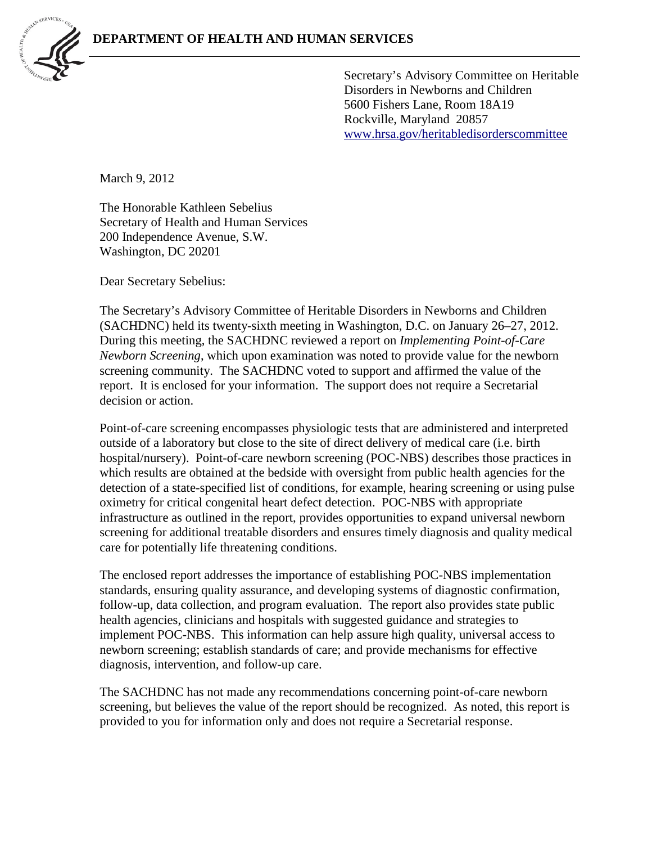

Secretary's Advisory Committee on Heritable Disorders in Newborns and Children 5600 Fishers Lane, Room 18A19 Rockville, Maryland 20857 [www.hrsa.gov/heritabledisorderscommittee](http://www.hrsa.gov/heritabledisorderscommittee)

March 9, 2012

The Honorable Kathleen Sebelius Secretary of Health and Human Services 200 Independence Avenue, S.W. Washington, DC 20201

Dear Secretary Sebelius:

The Secretary's Advisory Committee of Heritable Disorders in Newborns and Children (SACHDNC) held its twenty-sixth meeting in Washington, D.C. on January 26–27, 2012. During this meeting, the SACHDNC reviewed a report on *Implementing Point-of-Care Newborn Screening*, which upon examination was noted to provide value for the newborn screening community. The SACHDNC voted to support and affirmed the value of the report. It is enclosed for your information. The support does not require a Secretarial decision or action.

Point-of-care screening encompasses physiologic tests that are administered and interpreted outside of a laboratory but close to the site of direct delivery of medical care (i.e. birth hospital/nursery). Point-of-care newborn screening (POC-NBS) describes those practices in which results are obtained at the bedside with oversight from public health agencies for the detection of a state-specified list of conditions, for example, hearing screening or using pulse oximetry for critical congenital heart defect detection. POC-NBS with appropriate infrastructure as outlined in the report, provides opportunities to expand universal newborn screening for additional treatable disorders and ensures timely diagnosis and quality medical care for potentially life threatening conditions.

The enclosed report addresses the importance of establishing POC-NBS implementation standards, ensuring quality assurance, and developing systems of diagnostic confirmation, follow-up, data collection, and program evaluation. The report also provides state public health agencies, clinicians and hospitals with suggested guidance and strategies to implement POC-NBS. This information can help assure high quality, universal access to newborn screening; establish standards of care; and provide mechanisms for effective diagnosis, intervention, and follow-up care.

The SACHDNC has not made any recommendations concerning point-of-care newborn screening, but believes the value of the report should be recognized. As noted, this report is provided to you for information only and does not require a Secretarial response.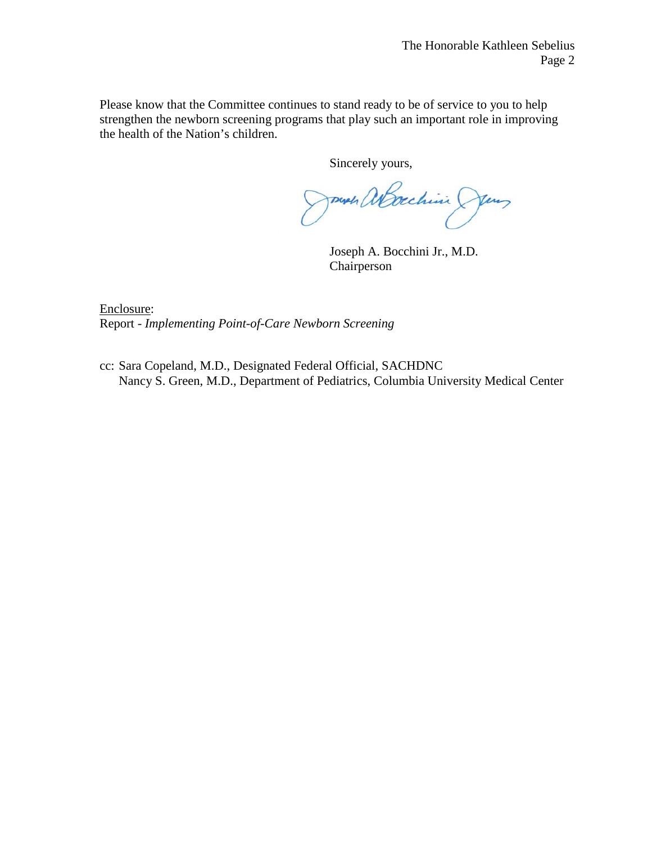Please know that the Committee continues to stand ready to be of service to you to help strengthen the newborn screening programs that play such an important role in improving the health of the Nation's children.

Sincerely yours,

Journ abachini Jen

Joseph A. Bocchini Jr., M.D. Chairperson

Enclosure: Report - *Implementing Point-of-Care Newborn Screening*

cc: Sara Copeland, M.D., Designated Federal Official, SACHDNC Nancy S. Green, M.D., Department of Pediatrics, Columbia University Medical Center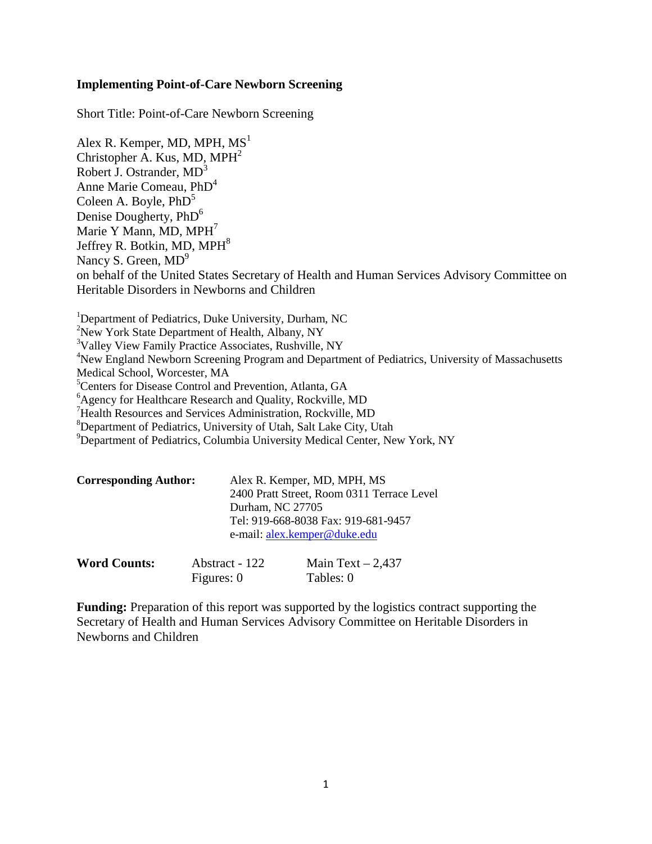## **Implementing Point-of-Care Newborn Screening**

Short Title: Point-of-Care Newborn Screening

Alex R. Kemper, MD, MPH,  $MS<sup>1</sup>$ Christopher A. Kus, MD,  $MPH<sup>2</sup>$ Robert J. Ostrander, MD<sup>3</sup> Anne Marie Comeau, PhD<sup>4</sup> Coleen A. Boyle,  $PhD<sup>5</sup>$ Denise Dougherty, PhD<sup>6</sup> Marie Y Mann, MD,  $MPH<sup>7</sup>$ Jeffrey R. Botkin, MD, MPH<sup>8</sup> Nancy S. Green,  $MD<sup>9</sup>$ on behalf of the United States Secretary of Health and Human Services Advisory Committee on Heritable Disorders in Newborns and Children

<sup>1</sup>Department of Pediatrics, Duke University, Durham, NC <sup>2</sup>New York State Department of Health, Albany, NY <sup>3</sup>Valley View Family Practice Associates, Rushville, NY <sup>4</sup>New England Newborn Screening Program and Department of Pediatrics, University of Massachusetts Medical School, Worcester, MA 5 Centers for Disease Control and Prevention, Atlanta, GA 6 Agency for Healthcare Research and Quality, Rockville, MD 7 Health Resources and Services Administration, Rockville, MD 8 Department of Pediatrics, University of Utah, Salt Lake City, Utah <sup>9</sup>Department of Pediatrics, Columbia University Medical Center, New York, NY

| <b>Corresponding Author:</b> | Alex R. Kemper, MD, MPH, MS                |
|------------------------------|--------------------------------------------|
|                              | 2400 Pratt Street, Room 0311 Terrace Level |
|                              | Durham, NC 27705                           |
|                              | Tel: 919-668-8038 Fax: 919-681-9457        |
|                              | e-mail: alex.kemper@duke.edu               |
|                              |                                            |

| <b>Word Counts:</b> | Abstract - 122 | Main Text $-2,437$ |
|---------------------|----------------|--------------------|
|                     | Figures: 0     | Tables: 0          |

**Funding:** Preparation of this report was supported by the logistics contract supporting the Secretary of Health and Human Services Advisory Committee on Heritable Disorders in Newborns and Children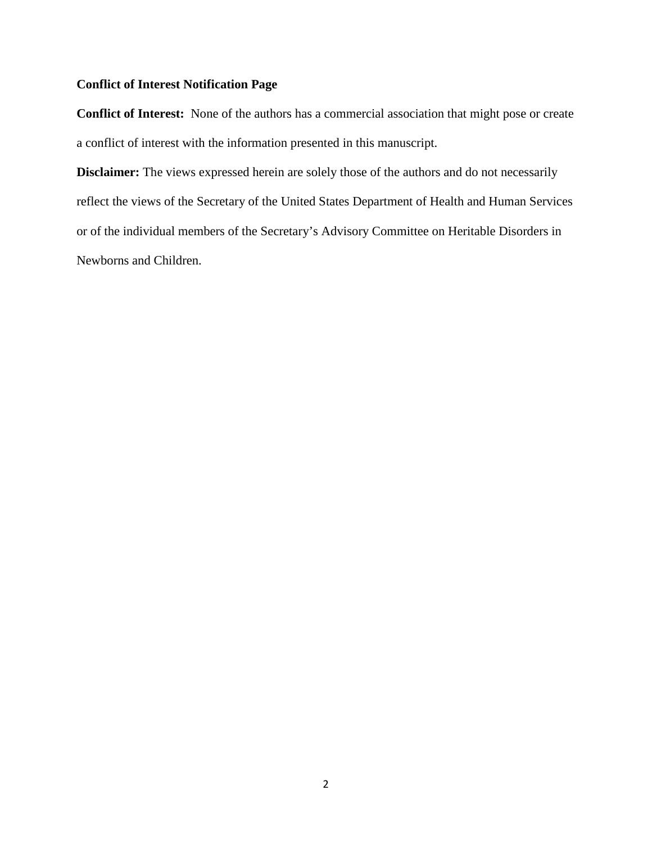# **Conflict of Interest Notification Page**

**Conflict of Interest:** None of the authors has a commercial association that might pose or create a conflict of interest with the information presented in this manuscript.

**Disclaimer:** The views expressed herein are solely those of the authors and do not necessarily reflect the views of the Secretary of the United States Department of Health and Human Services or of the individual members of the Secretary's Advisory Committee on Heritable Disorders in Newborns and Children.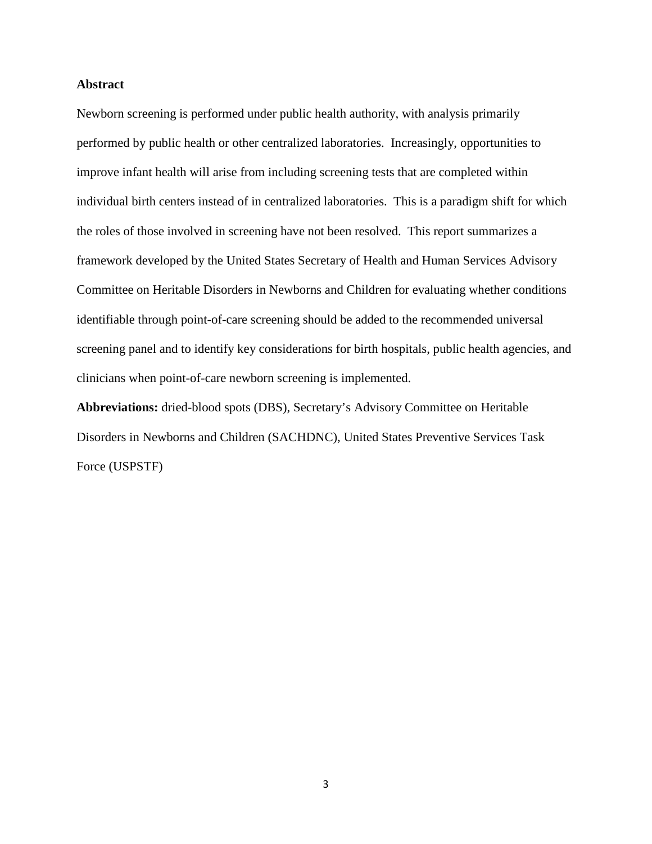## **Abstract**

Newborn screening is performed under public health authority, with analysis primarily performed by public health or other centralized laboratories. Increasingly, opportunities to improve infant health will arise from including screening tests that are completed within individual birth centers instead of in centralized laboratories. This is a paradigm shift for which the roles of those involved in screening have not been resolved. This report summarizes a framework developed by the United States Secretary of Health and Human Services Advisory Committee on Heritable Disorders in Newborns and Children for evaluating whether conditions identifiable through point-of-care screening should be added to the recommended universal screening panel and to identify key considerations for birth hospitals, public health agencies, and clinicians when point-of-care newborn screening is implemented.

**Abbreviations:** dried-blood spots (DBS), Secretary's Advisory Committee on Heritable Disorders in Newborns and Children (SACHDNC), United States Preventive Services Task Force (USPSTF)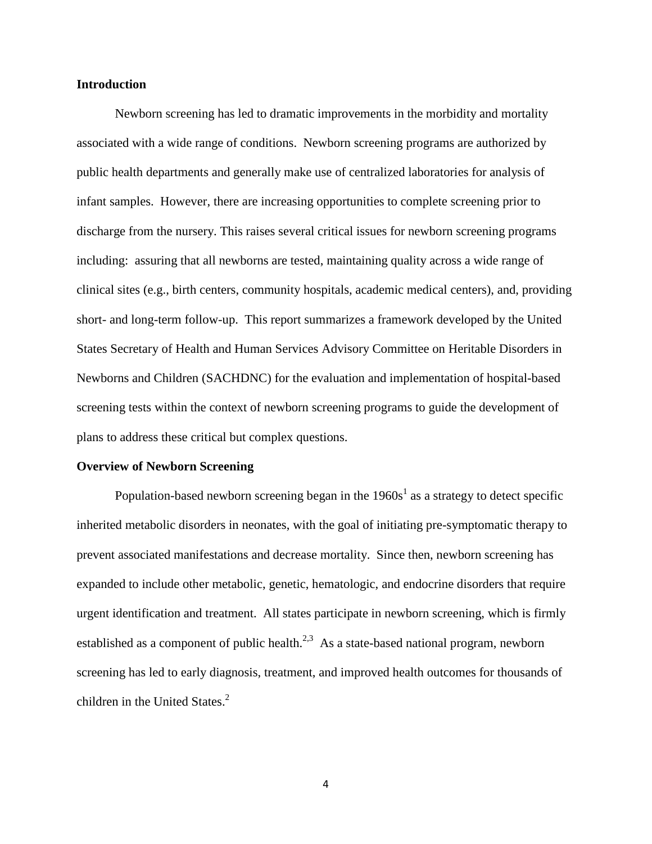## **Introduction**

Newborn screening has led to dramatic improvements in the morbidity and mortality associated with a wide range of conditions. Newborn screening programs are authorized by public health departments and generally make use of centralized laboratories for analysis of infant samples. However, there are increasing opportunities to complete screening prior to discharge from the nursery. This raises several critical issues for newborn screening programs including: assuring that all newborns are tested, maintaining quality across a wide range of clinical sites (e.g., birth centers, community hospitals, academic medical centers), and, providing short- and long-term follow-up. This report summarizes a framework developed by the United States Secretary of Health and Human Services Advisory Committee on Heritable Disorders in Newborns and Children (SACHDNC) for the evaluation and implementation of hospital-based screening tests within the context of newborn screening programs to guide the development of plans to address these critical but complex questions.

#### **Overview of Newborn Screening**

Population-ba[s](#page-15-0)ed newborn screening began in the  $1960s<sup>1</sup>$  as a strategy to detect specific inherited metabolic disorders in neonates, with the goal of initiating pre-symptomatic therapy to prevent associated manifestations and decrease mortality. Since then, newborn screening has expanded to include other metabolic, genetic, hematologic, and endocrine disorders that require urgent identification and treatment. All states participate in newborn screening, which is firmly established as a component of public health. $^{2,3}$  $^{2,3}$  $^{2,3}$  As a state-based national program, newborn screening has led to early diagnosis, treatment, and improved health outcomes for thousands of children in the United States[.](#page-15-1)<sup>2</sup>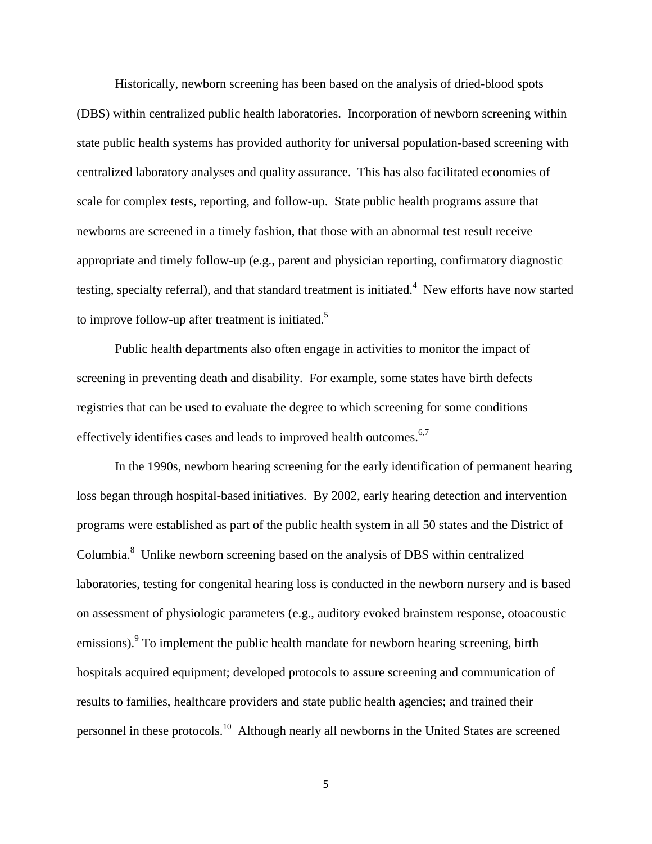Historically, newborn screening has been based on the analysis of dried-blood spots (DBS) within centralized public health laboratories. Incorporation of newborn screening within state public health systems has provided authority for universal population-based screening with centralized laboratory analyses and quality assurance. This has also facilitated economies of scale for complex tests, reporting, and follow-up. State public health programs assure that newborns are screened in a timely fashion, that those with an abnormal test result receive appropriate and timely follow-up (e.g., parent and physician reporting, confirmatory diagnostic testing, specialty referral), and that standard treatment is initiated[.](#page-15-3)<sup>4</sup> New efforts have now started to improve follow-up after treatment is initiated.<sup>5</sup>

Public health departments also often engage in activities to monitor the impact of screening in preventing death and disability. For example, some states have birth defects registries that can be used to evaluate the degree to which screening for some conditions effectively identifies cases and leads to improved health outcomes.<sup>6,[7](#page-15-6)</sup>

In the 1990s, newborn hearing screening for the early identification of permanent hearing loss began through hospital-based initiatives. By 2002, early hearing detection and intervention programs were established as part of the public health system in all 50 states and the District of Columbia.<sup>8</sup> Unlike newborn screening based on the analysis of DBS within centralized laboratories, testing for congenital hearing loss is conducted in the newborn nursery and is based on assessment of physiologic parameters (e.g., auditory evoked brainstem response, otoacoustic emissions).<sup>9</sup> To implement the public health mandate for newborn hearing screening, birth hospitals acquired equipment; developed protocols to assure screening and communication of results to families, healthcare providers and state public health agencies; and trained their personnel in these protocols.[10](#page-16-1) Although nearly all newborns in the United States are screened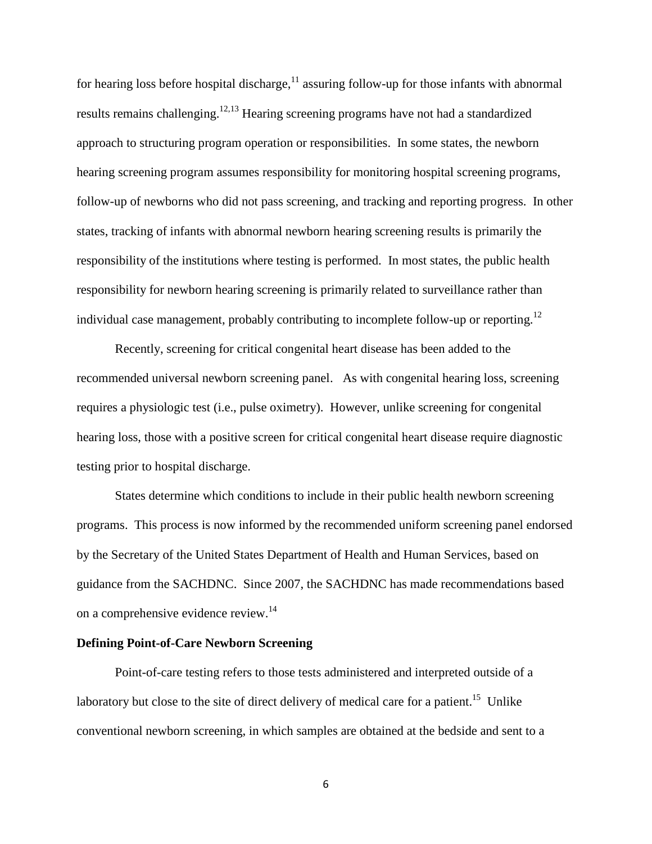for hearing loss before hospital discharge,  $11$  assuring follow-up for those infants with abnormal results remains challenging.<sup>[12,](#page-16-3)[13](#page-16-4)</sup> Hearing screening programs have not had a standardized approach to structuring program operation or responsibilities. In some states, the newborn hearing screening program assumes responsibility for monitoring hospital screening programs, follow-up of newborns who did not pass screening, and tracking and reporting progress. In other states, tracking of infants with abnormal newborn hearing screening results is primarily the responsibility of the institutions where testing is performed. In most states, the public health responsibility for newborn hearing screening is primarily related to surveillance rather than individual case management, probably contributing to incomplete follow-up or reporting.<sup>12</sup>

Recently, screening for critical congenital heart disease has been added to the recommended universal newborn screening panel. As with congenital hearing loss, screening requires a physiologic test (i.e., pulse oximetry). However, unlike screening for congenital hearing loss, those with a positive screen for critical congenital heart disease require diagnostic testing prior to hospital discharge.

States determine which conditions to include in their public health newborn screening programs. This process is now informed by the recommended uniform screening panel endorsed by the Secretary of the United States Department of Health and Human Services, based on guidance from the SACHDNC. Since 2007, the SACHDNC has made recommendations based on a comprehensive evidence review.<sup>14</sup>

## **Defining Point-of-Care Newborn Screening**

Point-of-care testing refers to those tests administered and interpreted outside of a laboratory but close to the site of direct delivery of medical care for a patient.<sup>15</sup> Unlike conventional newborn screening, in which samples are obtained at the bedside and sent to a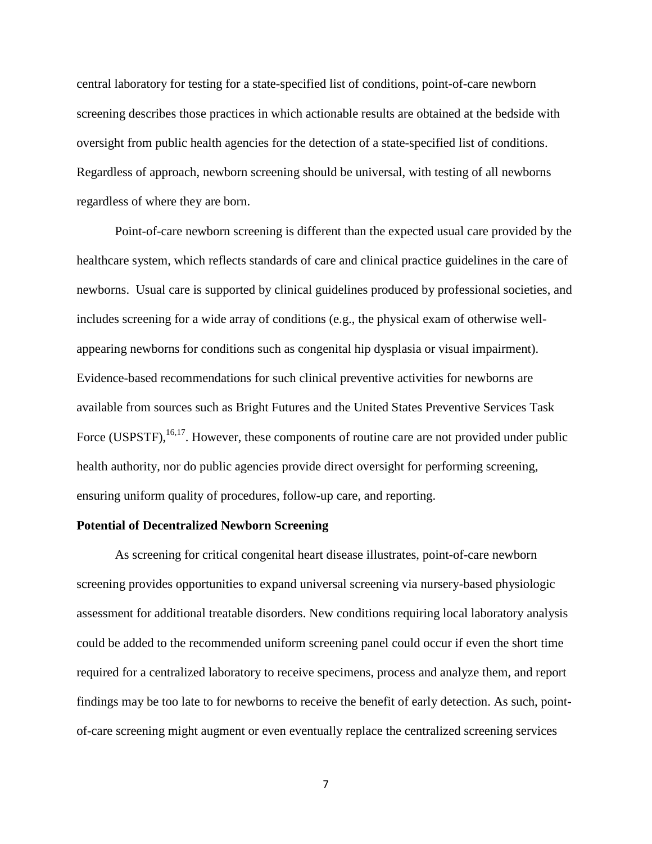central laboratory for testing for a state-specified list of conditions, point-of-care newborn screening describes those practices in which actionable results are obtained at the bedside with oversight from public health agencies for the detection of a state-specified list of conditions. Regardless of approach, newborn screening should be universal, with testing of all newborns regardless of where they are born.

Point-of-care newborn screening is different than the expected usual care provided by the healthcare system, which reflects standards of care and clinical practice guidelines in the care of newborns. Usual care is supported by clinical guidelines produced by professional societies, and includes screening for a wide array of conditions (e.g., the physical exam of otherwise wellappearing newborns for conditions such as congenital hip dysplasia or visual impairment). Evidence-based recommendations for such clinical preventive activities for newborns are available from sources such as Bright Futures and the United States Preventive Services Task Force (USPSTF),  $^{16,17}$ . However, these components of routine care are not provided under public health authority, nor do public agencies provide direct oversight for performing screening, ensuring uniform quality of procedures, follow-up care, and reporting.

#### **Potential of Decentralized Newborn Screening**

As screening for critical congenital heart disease illustrates, point-of-care newborn screening provides opportunities to expand universal screening via nursery-based physiologic assessment for additional treatable disorders. New conditions requiring local laboratory analysis could be added to the recommended uniform screening panel could occur if even the short time required for a centralized laboratory to receive specimens, process and analyze them, and report findings may be too late to for newborns to receive the benefit of early detection. As such, pointof-care screening might augment or even eventually replace the centralized screening services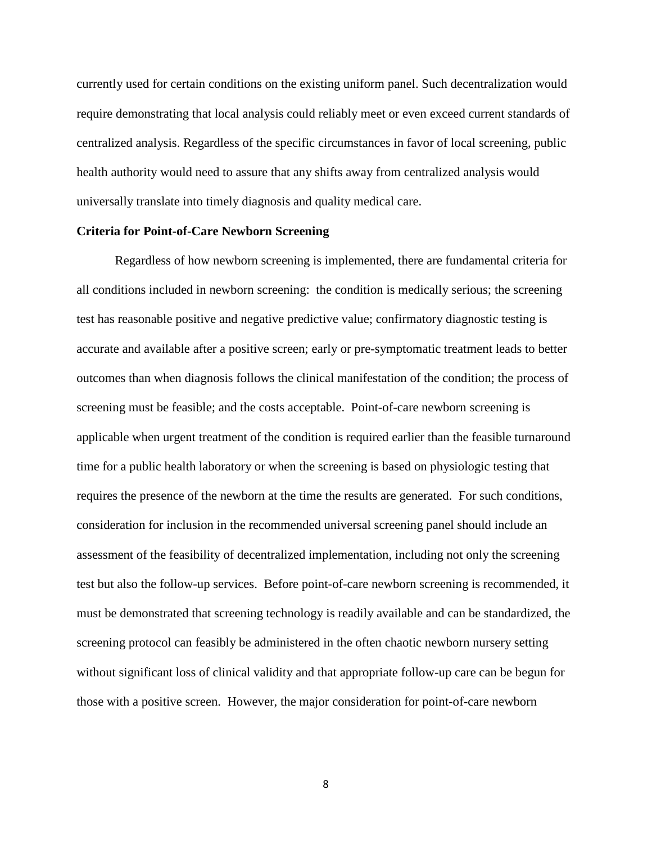currently used for certain conditions on the existing uniform panel. Such decentralization would require demonstrating that local analysis could reliably meet or even exceed current standards of centralized analysis. Regardless of the specific circumstances in favor of local screening, public health authority would need to assure that any shifts away from centralized analysis would universally translate into timely diagnosis and quality medical care.

## **Criteria for Point-of-Care Newborn Screening**

Regardless of how newborn screening is implemented, there are fundamental criteria for all conditions included in newborn screening: the condition is medically serious; the screening test has reasonable positive and negative predictive value; confirmatory diagnostic testing is accurate and available after a positive screen; early or pre-symptomatic treatment leads to better outcomes than when diagnosis follows the clinical manifestation of the condition; the process of screening must be feasible; and the costs acceptable. Point-of-care newborn screening is applicable when urgent treatment of the condition is required earlier than the feasible turnaround time for a public health laboratory or when the screening is based on physiologic testing that requires the presence of the newborn at the time the results are generated. For such conditions, consideration for inclusion in the recommended universal screening panel should include an assessment of the feasibility of decentralized implementation, including not only the screening test but also the follow-up services. Before point-of-care newborn screening is recommended, it must be demonstrated that screening technology is readily available and can be standardized, the screening protocol can feasibly be administered in the often chaotic newborn nursery setting without significant loss of clinical validity and that appropriate follow-up care can be begun for those with a positive screen. However, the major consideration for point-of-care newborn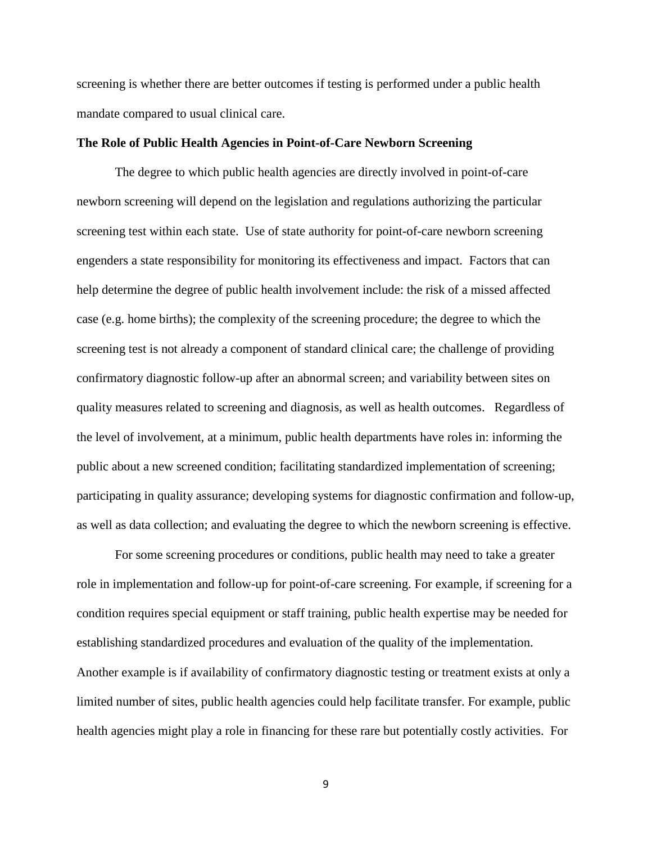screening is whether there are better outcomes if testing is performed under a public health mandate compared to usual clinical care.

## **The Role of Public Health Agencies in Point-of-Care Newborn Screening**

The degree to which public health agencies are directly involved in point-of-care newborn screening will depend on the legislation and regulations authorizing the particular screening test within each state. Use of state authority for point-of-care newborn screening engenders a state responsibility for monitoring its effectiveness and impact. Factors that can help determine the degree of public health involvement include: the risk of a missed affected case (e.g. home births); the complexity of the screening procedure; the degree to which the screening test is not already a component of standard clinical care; the challenge of providing confirmatory diagnostic follow-up after an abnormal screen; and variability between sites on quality measures related to screening and diagnosis, as well as health outcomes. Regardless of the level of involvement, at a minimum, public health departments have roles in: informing the public about a new screened condition; facilitating standardized implementation of screening; participating in quality assurance; developing systems for diagnostic confirmation and follow-up, as well as data collection; and evaluating the degree to which the newborn screening is effective.

For some screening procedures or conditions, public health may need to take a greater role in implementation and follow-up for point-of-care screening. For example, if screening for a condition requires special equipment or staff training, public health expertise may be needed for establishing standardized procedures and evaluation of the quality of the implementation. Another example is if availability of confirmatory diagnostic testing or treatment exists at only a limited number of sites, public health agencies could help facilitate transfer. For example, public health agencies might play a role in financing for these rare but potentially costly activities. For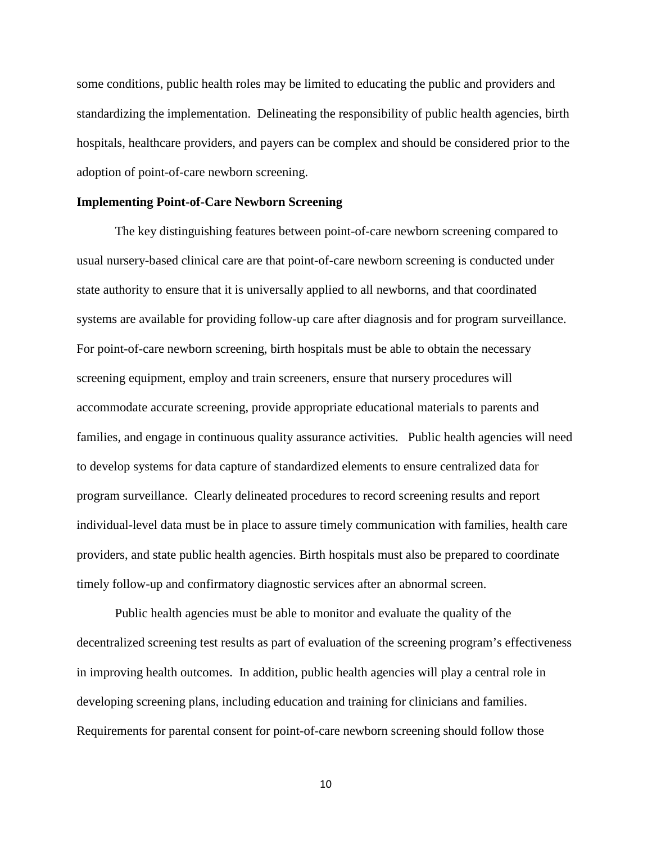some conditions, public health roles may be limited to educating the public and providers and standardizing the implementation. Delineating the responsibility of public health agencies, birth hospitals, healthcare providers, and payers can be complex and should be considered prior to the adoption of point-of-care newborn screening.

## **Implementing Point-of-Care Newborn Screening**

The key distinguishing features between point-of-care newborn screening compared to usual nursery-based clinical care are that point-of-care newborn screening is conducted under state authority to ensure that it is universally applied to all newborns, and that coordinated systems are available for providing follow-up care after diagnosis and for program surveillance. For point-of-care newborn screening, birth hospitals must be able to obtain the necessary screening equipment, employ and train screeners, ensure that nursery procedures will accommodate accurate screening, provide appropriate educational materials to parents and families, and engage in continuous quality assurance activities. Public health agencies will need to develop systems for data capture of standardized elements to ensure centralized data for program surveillance. Clearly delineated procedures to record screening results and report individual-level data must be in place to assure timely communication with families, health care providers, and state public health agencies. Birth hospitals must also be prepared to coordinate timely follow-up and confirmatory diagnostic services after an abnormal screen.

Public health agencies must be able to monitor and evaluate the quality of the decentralized screening test results as part of evaluation of the screening program's effectiveness in improving health outcomes. In addition, public health agencies will play a central role in developing screening plans, including education and training for clinicians and families. Requirements for parental consent for point-of-care newborn screening should follow those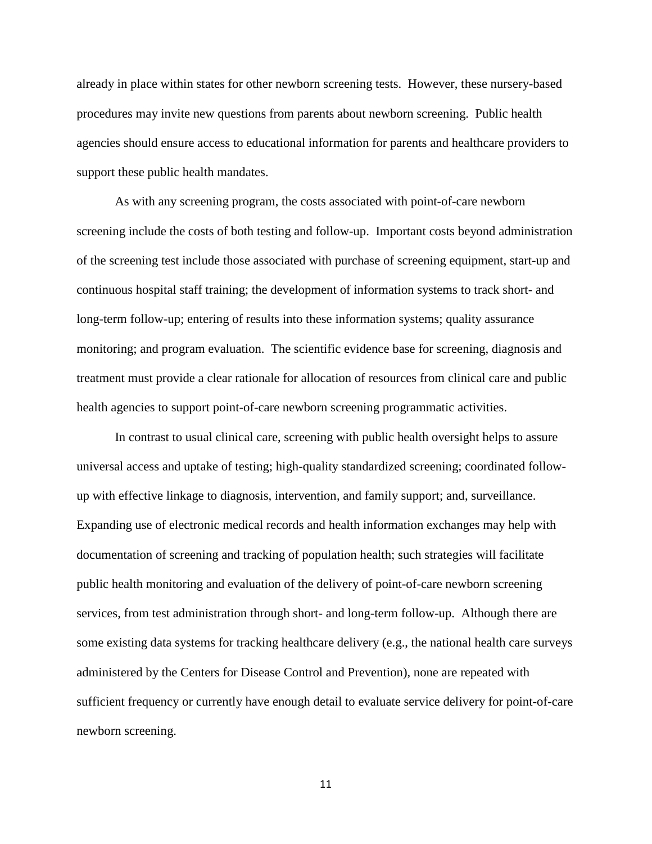already in place within states for other newborn screening tests. However, these nursery-based procedures may invite new questions from parents about newborn screening. Public health agencies should ensure access to educational information for parents and healthcare providers to support these public health mandates.

As with any screening program, the costs associated with point-of-care newborn screening include the costs of both testing and follow-up. Important costs beyond administration of the screening test include those associated with purchase of screening equipment, start-up and continuous hospital staff training; the development of information systems to track short- and long-term follow-up; entering of results into these information systems; quality assurance monitoring; and program evaluation. The scientific evidence base for screening, diagnosis and treatment must provide a clear rationale for allocation of resources from clinical care and public health agencies to support point-of-care newborn screening programmatic activities.

In contrast to usual clinical care, screening with public health oversight helps to assure universal access and uptake of testing; high-quality standardized screening; coordinated followup with effective linkage to diagnosis, intervention, and family support; and, surveillance. Expanding use of electronic medical records and health information exchanges may help with documentation of screening and tracking of population health; such strategies will facilitate public health monitoring and evaluation of the delivery of point-of-care newborn screening services, from test administration through short- and long-term follow-up. Although there are some existing data systems for tracking healthcare delivery (e.g., the national health care surveys administered by the Centers for Disease Control and Prevention), none are repeated with sufficient frequency or currently have enough detail to evaluate service delivery for point-of-care newborn screening.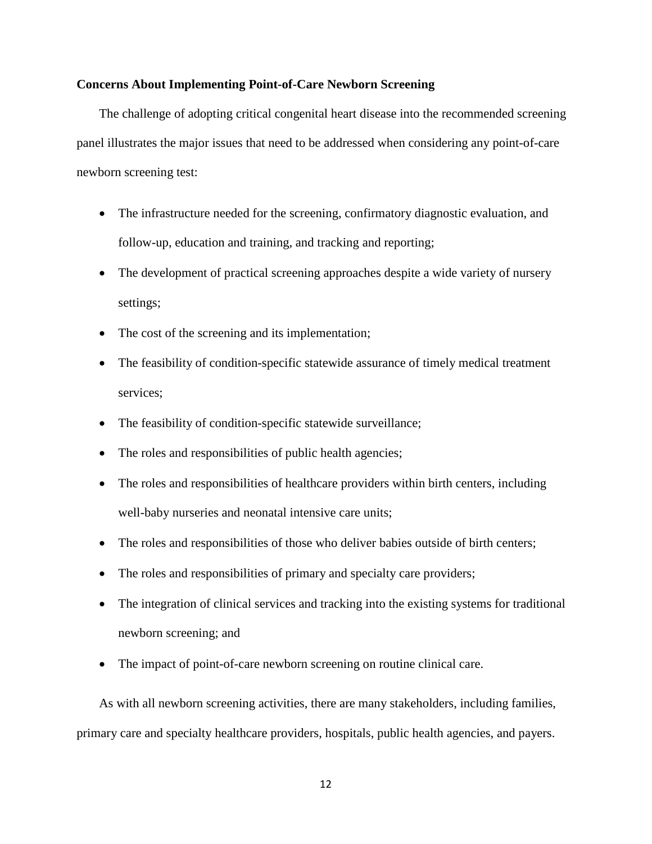## **Concerns About Implementing Point-of-Care Newborn Screening**

The challenge of adopting critical congenital heart disease into the recommended screening panel illustrates the major issues that need to be addressed when considering any point-of-care newborn screening test:

- The infrastructure needed for the screening, confirmatory diagnostic evaluation, and follow-up, education and training, and tracking and reporting;
- The development of practical screening approaches despite a wide variety of nursery settings;
- The cost of the screening and its implementation;
- The feasibility of condition-specific statewide assurance of timely medical treatment services;
- The feasibility of condition-specific statewide surveillance;
- The roles and responsibilities of public health agencies;
- The roles and responsibilities of healthcare providers within birth centers, including well-baby nurseries and neonatal intensive care units;
- The roles and responsibilities of those who deliver babies outside of birth centers;
- The roles and responsibilities of primary and specialty care providers;
- The integration of clinical services and tracking into the existing systems for traditional newborn screening; and
- The impact of point-of-care newborn screening on routine clinical care.

As with all newborn screening activities, there are many stakeholders, including families, primary care and specialty healthcare providers, hospitals, public health agencies, and payers.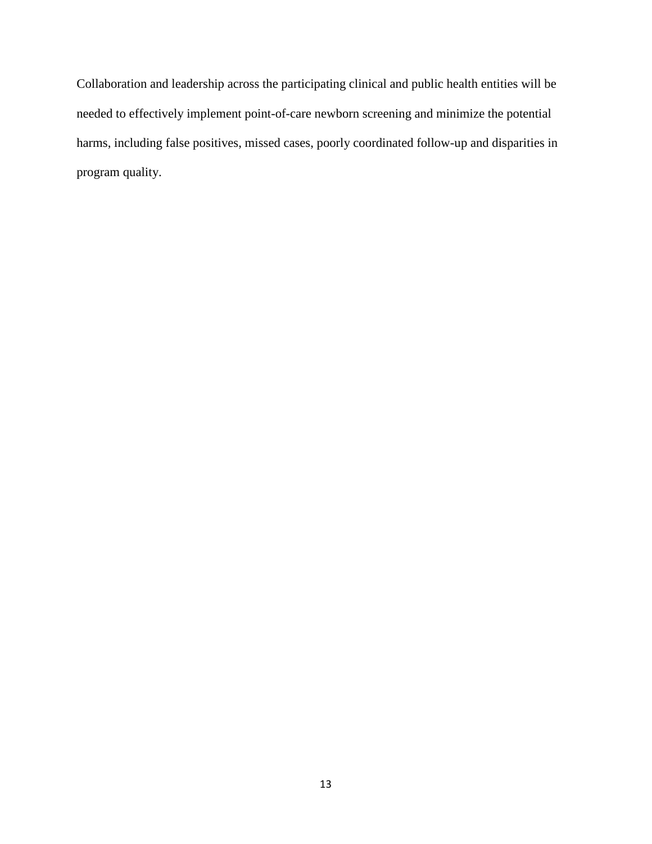Collaboration and leadership across the participating clinical and public health entities will be needed to effectively implement point-of-care newborn screening and minimize the potential harms, including false positives, missed cases, poorly coordinated follow-up and disparities in program quality.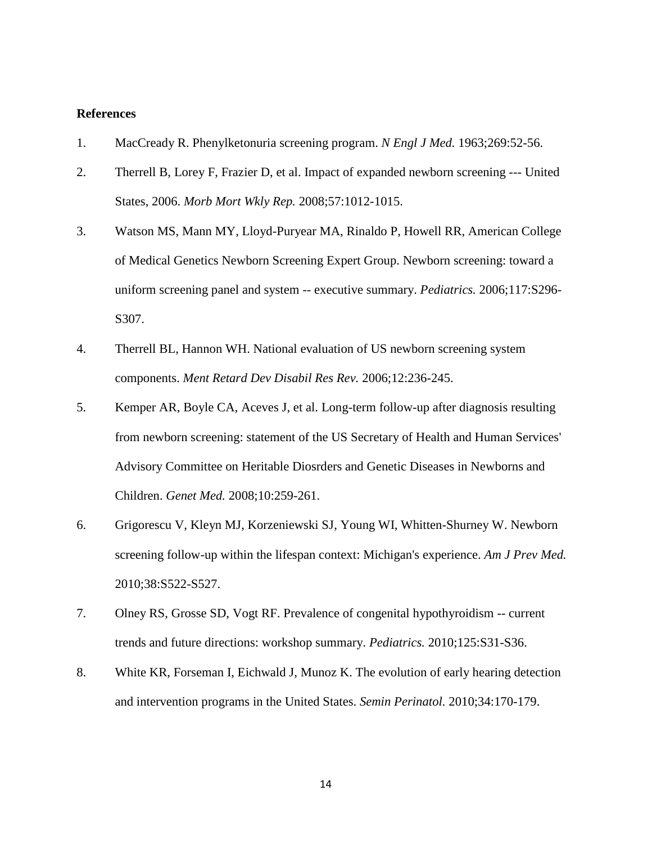## **References**

- <span id="page-15-0"></span>1. MacCready R. Phenylketonuria screening program. *N Engl J Med.* 1963;269:52-56.
- <span id="page-15-1"></span>2. Therrell B, Lorey F, Frazier D, et al. Impact of expanded newborn screening --- United States, 2006. *Morb Mort Wkly Rep.* 2008;57:1012-1015.
- <span id="page-15-2"></span>3. Watson MS, Mann MY, Lloyd-Puryear MA, Rinaldo P, Howell RR, American College of Medical Genetics Newborn Screening Expert Group. Newborn screening: toward a uniform screening panel and system -- executive summary. *Pediatrics.* 2006;117:S296- S<sub>3</sub>07.
- <span id="page-15-3"></span>4. Therrell BL, Hannon WH. National evaluation of US newborn screening system components. *Ment Retard Dev Disabil Res Rev.* 2006;12:236-245.
- <span id="page-15-4"></span>5. Kemper AR, Boyle CA, Aceves J, et al. Long-term follow-up after diagnosis resulting from newborn screening: statement of the US Secretary of Health and Human Services' Advisory Committee on Heritable Diosrders and Genetic Diseases in Newborns and Children. *Genet Med.* 2008;10:259-261.
- <span id="page-15-5"></span>6. Grigorescu V, Kleyn MJ, Korzeniewski SJ, Young WI, Whitten-Shurney W. Newborn screening follow-up within the lifespan context: Michigan's experience. *Am J Prev Med.*  2010;38:S522-S527.
- <span id="page-15-6"></span>7. Olney RS, Grosse SD, Vogt RF. Prevalence of congenital hypothyroidism -- current trends and future directions: workshop summary. *Pediatrics.* 2010;125:S31-S36.
- <span id="page-15-7"></span>8. White KR, Forseman I, Eichwald J, Munoz K. The evolution of early hearing detection and intervention programs in the United States. *Semin Perinatol.* 2010;34:170-179.